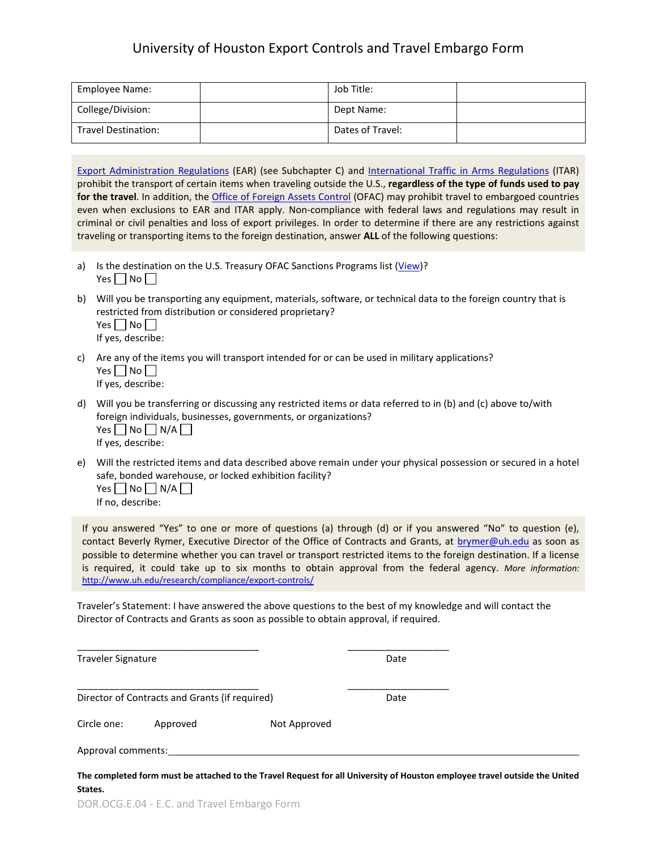## University of Houston Export Controls and Travel Embargo Form

| Employee Name:             | Job Title:       |  |
|----------------------------|------------------|--|
| College/Division:          | Dept Name:       |  |
| <b>Travel Destination:</b> | Dates of Travel: |  |

[Export Administration Regulations](http://ecfr.gpoaccess.gov/cgi/t/text/text-idx?sid=267aaed1d7a4089dfba22fdbbe4b8789&c=ecfr&tpl=/ecfrbrowse/Title15/15cfrv2_02.tpl) (EAR) (see Subchapter C) and [International Traffic in Arms Regulations](http://www.pmddtc.state.gov/regulations_laws/itar.html) (ITAR) prohibit the transport of certain items when traveling outside the U.S., **regardless of the type of funds used to pay for the travel**. In addition, th[e Office of Foreign Assets Control](http://www.treasury.gov/about/organizational-structure/offices/Pages/Office-of-Foreign-Assets-Control.aspx) (OFAC) may prohibit travel to embargoed countries even when exclusions to EAR and ITAR apply. Non-compliance with federal laws and regulations may result in criminal or civil penalties and loss of export privileges. In order to determine if there are any restrictions against traveling or transporting items to the foreign destination, answer **ALL** of the following questions:

- a) Is the destination on the U.S. Treasury OFAC Sanctions Programs list [\(View\)](http://www.treasury.gov/resource-center/sanctions/Programs/Pages/Programs.aspx)? Yes  $\Box$  No  $\Box$
- b) Will you be transporting any equipment, materials, software, or technical data to the foreign country that is restricted from distribution or considered proprietary? Yes  $\Box$  No  $\Box$ If yes, describe:
- c) Are any of the items you will transport intended for or can be used in military applications? Yes  $\Box$  No  $\Box$ If yes, describe:
- d) Will you be transferring or discussing any restricted items or data referred to in (b) and (c) above to/with foreign individuals, businesses, governments, or organizations?  $Yes \Box No \Box N/A \Box$ If yes, describe:
- e) Will the restricted items and data described above remain under your physical possession or secured in a hotel safe, bonded warehouse, or locked exhibition facility? Yes  $\Box$  No  $\Box$  N/A  $\Box$

If no, describe:

If you answered "Yes" to one or more of questions (a) through (d) or if you answered "No" to question (e), contact Beverly Rymer, Executive Director of the Office of Contracts and Grants, at [brymer@uh.edu](mailto:brymer@uh.edu) as soon as possible to determine whether you can travel or transport restricted items to the foreign destination. If a license is required, it could take up to six months to obtain approval from the federal agency. *More information:*  <http://www.uh.edu/research/compliance/export-controls/>

Traveler's Statement: I have answered the above questions to the best of my knowledge and will contact the Director of Contracts and Grants as soon as possible to obtain approval, if required.

| <b>Traveler Signature</b><br>Director of Contracts and Grants (if required) |          |                                                                                                                            | Date |  |
|-----------------------------------------------------------------------------|----------|----------------------------------------------------------------------------------------------------------------------------|------|--|
|                                                                             |          |                                                                                                                            | Date |  |
| Circle one:                                                                 | Approved | Not Approved                                                                                                               |      |  |
| Approval comments:                                                          |          |                                                                                                                            |      |  |
|                                                                             |          | The completed form must be attached to the Travel Request for all University of Houston employee travel outside the United |      |  |

**The completed form must be attached to the Travel Request for all University of Houston employee travel outside the United States.**